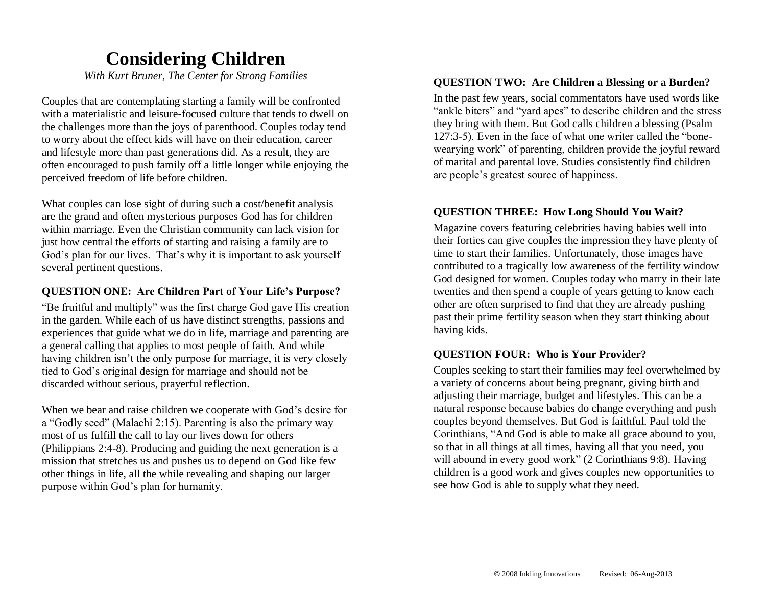## **Considering Children**

*With Kurt Bruner, The Center for Strong Families*

Couples that are contemplating starting a family will be confronted with a materialistic and leisure-focused culture that tends to dwell on the challenges more than the joys of parenthood. Couples today tend to worry about the effect kids will have on their education, career and lifestyle more than past generations did. As a result, they are often encouraged to push family off a little longer while enjoying the perceived freedom of life before children.

What couples can lose sight of during such a cost/benefit analysis are the grand and often mysterious purposes God has for children within marriage. Even the Christian community can lack vision for just how central the efforts of starting and raising a family are to God's plan for our lives. That's why it is important to ask yourself several pertinent questions.

#### **QUESTION ONE: Are Children Part of Your Life's Purpose?**

"Be fruitful and multiply" was the first charge God gave His creation in the garden. While each of us have distinct strengths, passions and experiences that guide what we do in life, marriage and parenting are a general calling that applies to most people of faith. And while having children isn't the only purpose for marriage, it is very closely tied to God's original design for marriage and should not be discarded without serious, prayerful reflection.

When we bear and raise children we cooperate with God's desire for a "Godly seed" (Malachi 2:15). Parenting is also the primary way most of us fulfill the call to lay our lives down for others (Philippians 2:4-8). Producing and guiding the next generation is a mission that stretches us and pushes us to depend on God like few other things in life, all the while revealing and shaping our larger purpose within God's plan for humanity.

#### **QUESTION TWO: Are Children a Blessing or a Burden?**

In the past few years, social commentators have used words like "ankle biters" and "yard apes" to describe children and the stress they bring with them. But God calls children a blessing (Psalm 127:3-5). Even in the face of what one writer called the "bonewearying work" of parenting, children provide the joyful reward of marital and parental love. Studies consistently find children are people's greatest source of happiness.

#### **QUESTION THREE: How Long Should You Wait?**

Magazine covers featuring celebrities having babies well into their forties can give couples the impression they have plenty of time to start their families. Unfortunately, those images have contributed to a tragically low awareness of the fertility window God designed for women. Couples today who marry in their late twenties and then spend a couple of years getting to know each other are often surprised to find that they are already pushing past their prime fertility season when they start thinking about having kids.

#### **QUESTION FOUR: Who is Your Provider?**

Couples seeking to start their families may feel overwhelmed by a variety of concerns about being pregnant, giving birth and adjusting their marriage, budget and lifestyles. This can be a natural response because babies do change everything and push couples beyond themselves. But God is faithful. Paul told the Corinthians, "And God is able to make all grace abound to you, so that in all things at all times, having all that you need, you will abound in every good work" (2 Corinthians 9:8). Having children is a good work and gives couples new opportunities to see how God is able to supply what they need.